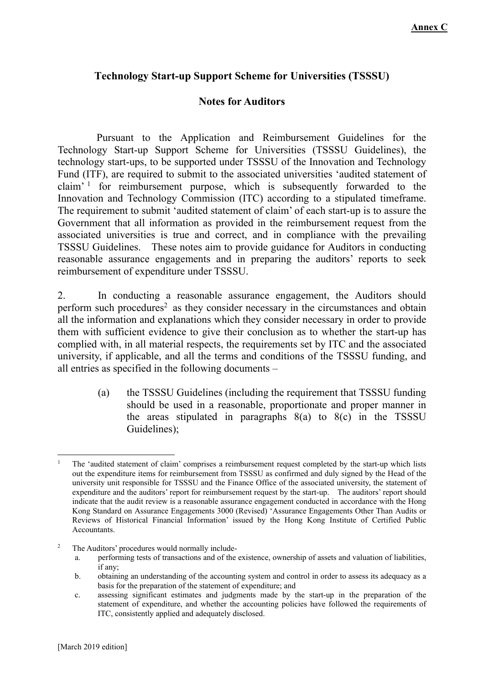## **Technology Start-up Support Scheme for Universities (TSSSU)**

## **Notes for Auditors**

 Pursuant to the Application and Reimbursement Guidelines for the Technology Start-up Support Scheme for Universities (TSSSU Guidelines), the technology start-ups, to be supported under TSSSU of the Innovation and Technology Fund (ITF), are required to submit to the associated universities 'audited statement of claim' 1 for reimbursement purpose, which is subsequently forwarded to the Innovation and Technology Commission (ITC) according to a stipulated timeframe. The requirement to submit 'audited statement of claim' of each start-up is to assure the Government that all information as provided in the reimbursement request from the associated universities is true and correct, and in compliance with the prevailing TSSSU Guidelines. These notes aim to provide guidance for Auditors in conducting reasonable assurance engagements and in preparing the auditors' reports to seek reimbursement of expenditure under TSSSU.

2. In conducting a reasonable assurance engagement, the Auditors should perform such procedures<sup>2</sup> as they consider necessary in the circumstances and obtain all the information and explanations which they consider necessary in order to provide them with sufficient evidence to give their conclusion as to whether the start-up has complied with, in all material respects, the requirements set by ITC and the associated university, if applicable, and all the terms and conditions of the TSSSU funding, and all entries as specified in the following documents –

> (a) the TSSSU Guidelines (including the requirement that TSSSU funding should be used in a reasonable, proportionate and proper manner in the areas stipulated in paragraphs  $8(a)$  to  $8(c)$  in the TSSSU Guidelines);

2 The Auditors' procedures would normally include-

<sup>1</sup> 1 The 'audited statement of claim' comprises a reimbursement request completed by the start-up which lists out the expenditure items for reimbursement from TSSSU as confirmed and duly signed by the Head of the university unit responsible for TSSSU and the Finance Office of the associated university, the statement of expenditure and the auditors' report for reimbursement request by the start-up. The auditors' report should indicate that the audit review is a reasonable assurance engagement conducted in accordance with the Hong Kong Standard on Assurance Engagements 3000 (Revised) 'Assurance Engagements Other Than Audits or Reviews of Historical Financial Information' issued by the Hong Kong Institute of Certified Public Accountants.

a. performing tests of transactions and of the existence, ownership of assets and valuation of liabilities, if any;

b. obtaining an understanding of the accounting system and control in order to assess its adequacy as a basis for the preparation of the statement of expenditure; and

c. assessing significant estimates and judgments made by the start-up in the preparation of the statement of expenditure, and whether the accounting policies have followed the requirements of ITC, consistently applied and adequately disclosed.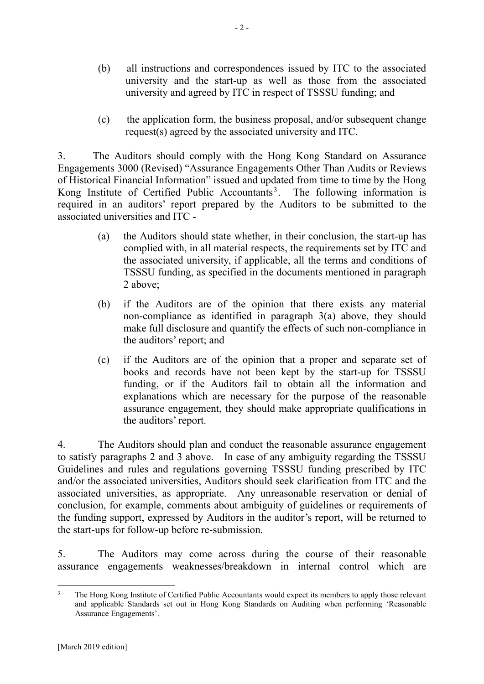- (b) all instructions and correspondences issued by ITC to the associated university and the start-up as well as those from the associated university and agreed by ITC in respect of TSSSU funding; and
- (c) the application form, the business proposal, and/or subsequent change request(s) agreed by the associated university and ITC.

3. The Auditors should comply with the Hong Kong Standard on Assurance Engagements 3000 (Revised) "Assurance Engagements Other Than Audits or Reviews of Historical Financial Information" issued and updated from time to time by the Hong Kong Institute of Certified Public Accountants<sup>3</sup>. The following information is required in an auditors' report prepared by the Auditors to be submitted to the associated universities and ITC -

- (a) the Auditors should state whether, in their conclusion, the start-up has complied with, in all material respects, the requirements set by ITC and the associated university, if applicable, all the terms and conditions of TSSSU funding, as specified in the documents mentioned in paragraph 2 above;
- (b) if the Auditors are of the opinion that there exists any material non-compliance as identified in paragraph 3(a) above, they should make full disclosure and quantify the effects of such non-compliance in the auditors' report; and
- (c) if the Auditors are of the opinion that a proper and separate set of books and records have not been kept by the start-up for TSSSU funding, or if the Auditors fail to obtain all the information and explanations which are necessary for the purpose of the reasonable assurance engagement, they should make appropriate qualifications in the auditors' report.

4. The Auditors should plan and conduct the reasonable assurance engagement to satisfy paragraphs 2 and 3 above. In case of any ambiguity regarding the TSSSU Guidelines and rules and regulations governing TSSSU funding prescribed by ITC and/or the associated universities, Auditors should seek clarification from ITC and the associated universities, as appropriate. Any unreasonable reservation or denial of conclusion, for example, comments about ambiguity of guidelines or requirements of the funding support, expressed by Auditors in the auditor's report, will be returned to the start-ups for follow-up before re-submission.

5. The Auditors may come across during the course of their reasonable assurance engagements weaknesses/breakdown in internal control which are

 $\frac{1}{3}$  The Hong Kong Institute of Certified Public Accountants would expect its members to apply those relevant and applicable Standards set out in Hong Kong Standards on Auditing when performing 'Reasonable Assurance Engagements'.